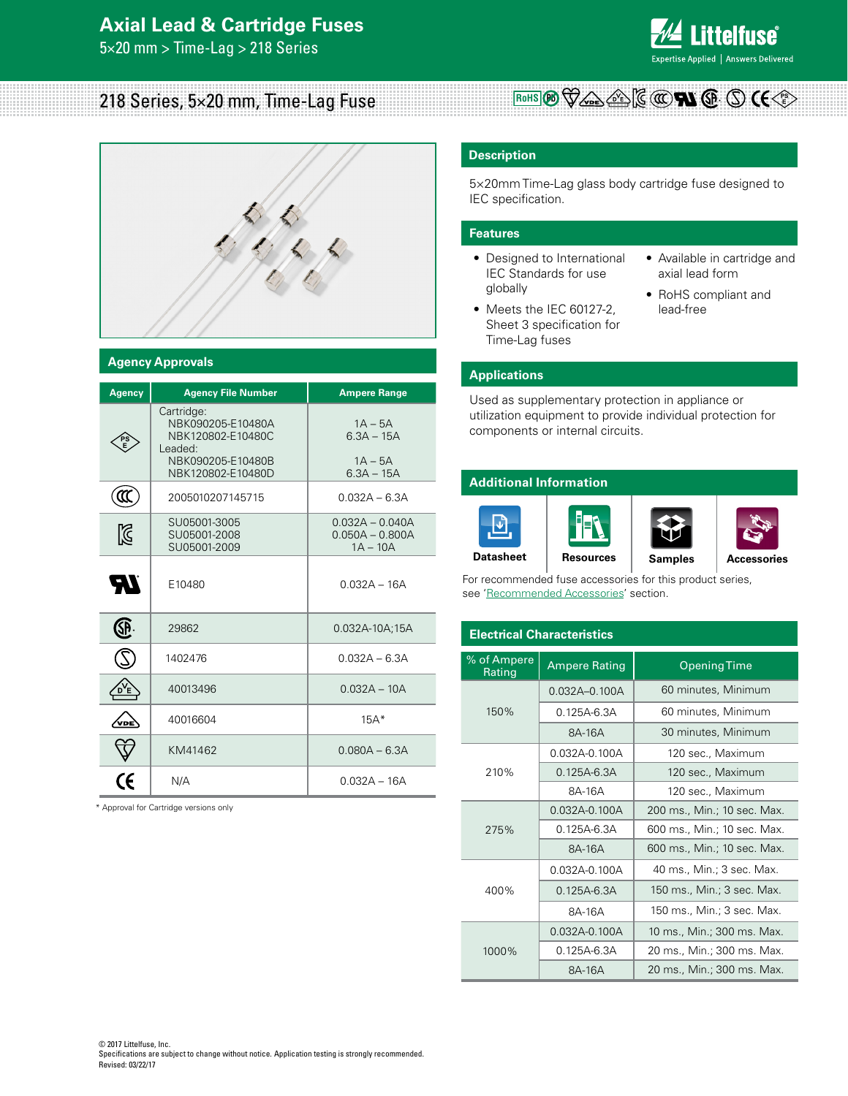## **Axial Lead & Cartridge Fuses**

5×20 mm > Time-Lag > 218 Series



# 218 Series, 5×20 mm, Time-Lag Fuse



### **Agency Approvals**

| Agency      | <b>Agency File Number</b>                                                                                 | <b>Ampere Range</b>                                    |
|-------------|-----------------------------------------------------------------------------------------------------------|--------------------------------------------------------|
|             | Cartridge:<br>NBK090205-E10480A<br>NBK120802-E10480C<br>Leaded:<br>NBK090205-E10480B<br>NBK120802-E10480D | $1A - 5A$<br>$6.3A - 15A$<br>$1A - 5A$<br>$6.3A - 15A$ |
| ແ           | 2005010207145715                                                                                          | $0.032A - 6.3A$                                        |
| $\boxtimes$ | SU05001-3005<br>SU05001-2008<br>SU05001-2009                                                              | $0.032A - 0.040A$<br>$0.050A - 0.800A$<br>$1A - 10A$   |
| 77          | E10480                                                                                                    | $0.032A - 16A$                                         |
| SP          | 29862                                                                                                     | 0.032A-10A;15A                                         |
|             | 1402476                                                                                                   | $0.032A - 6.3A$                                        |
|             | 40013496                                                                                                  | $0.032A - 10A$                                         |
| VDE         | 40016604                                                                                                  | $15A*$                                                 |
|             | KM41462                                                                                                   | $0.080A - 6.3A$                                        |
| CE          | N/A                                                                                                       | $0.032A - 16A$                                         |

\* Approval for Cartridge versions only

### **Description**

5×20mm Time-Lag glass body cartridge fuse designed to IEC specification.

**RoHS**  $\left(\mathbf{P}_{\mathbf{D}}\right)\bigvee\bigvee_{\mathbf{P}}\bigvee_{\mathbf{D}}\bigtriangleup\bigtriangleup\big)\left[\mathbf{G}\left(\mathbf{C}\right)\bigcap\mathbf{A}\left(\mathbf{S}\right),\left(\mathbf{D}\right)\left(\mathbf{C}\right)\right]$ 

### **Features**

- Designed to International IEC Standards for use globally
- Meets the IEC 60127-2, Sheet 3 specification for Time-Lag fuses
- Available in cartridge and axial lead form
- RoHS compliant and lead-free

### **Applications**

Used as supplementary protection in appliance or utilization equipment to provide individual protection for components or internal circuits.

### **Additional Information**



For recommended fuse accessories for this product series, see 'Recommended Accessories' section.

| <b>Electrical Characteristics</b>             |                   |                             |  |  |  |  |  |  |
|-----------------------------------------------|-------------------|-----------------------------|--|--|--|--|--|--|
| % of Ampere<br><b>Ampere Rating</b><br>Rating |                   | <b>Opening Time</b>         |  |  |  |  |  |  |
|                                               | $0.032A - 0.100A$ | 60 minutes, Minimum         |  |  |  |  |  |  |
| 150%                                          | $0.125A - 6.3A$   | 60 minutes, Minimum         |  |  |  |  |  |  |
|                                               | 8A-16A            | 30 minutes, Minimum         |  |  |  |  |  |  |
|                                               | 0.032A-0.100A     | 120 sec., Maximum           |  |  |  |  |  |  |
| 210%                                          | $0.125A - 6.3A$   | 120 sec., Maximum           |  |  |  |  |  |  |
|                                               | 8A-16A            | 120 sec., Maximum           |  |  |  |  |  |  |
|                                               | $0.032A - 0.100A$ | 200 ms., Min.; 10 sec. Max. |  |  |  |  |  |  |
| 275%                                          | $0.125A - 6.3A$   | 600 ms., Min.; 10 sec. Max. |  |  |  |  |  |  |
|                                               | 8A-16A            | 600 ms., Min.; 10 sec. Max. |  |  |  |  |  |  |
|                                               | $0.032A - 0.100A$ | 40 ms., Min.; 3 sec. Max.   |  |  |  |  |  |  |
| 400%                                          | $0.125A - 6.3A$   | 150 ms., Min.; 3 sec. Max.  |  |  |  |  |  |  |
|                                               | 8A-16A            | 150 ms., Min.; 3 sec. Max.  |  |  |  |  |  |  |
|                                               | $0.032A - 0.100A$ | 10 ms., Min.; 300 ms. Max.  |  |  |  |  |  |  |
| 1000%                                         | $0.125A - 6.3A$   | 20 ms., Min.; 300 ms. Max.  |  |  |  |  |  |  |
|                                               | 8A-16A            | 20 ms., Min.; 300 ms. Max.  |  |  |  |  |  |  |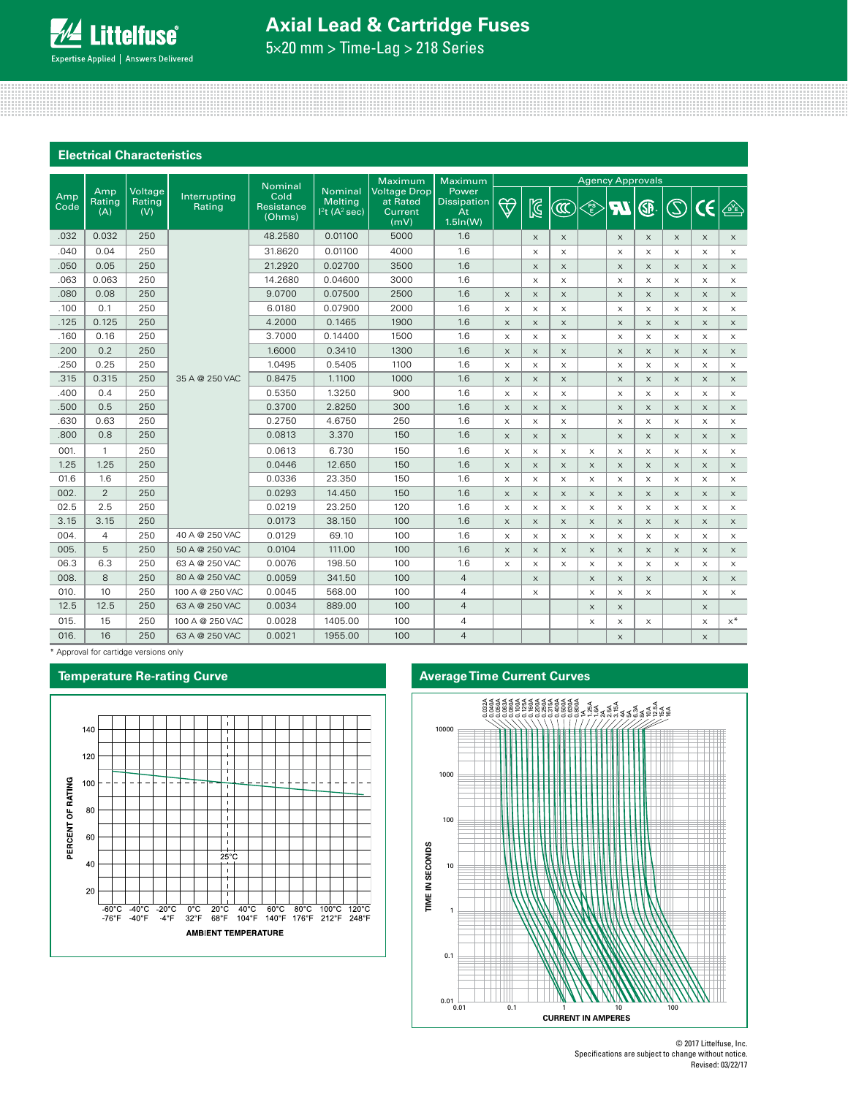# **Axial Lead & Cartridge Fuses**

5×20 mm > Time-Lag > 218 Series

### **Electrical Characteristics**

|                    |               |                          |                        | Nominal                      |                                                      | Maximum                                            | Maximum                                                 | <b>Agency Approvals</b> |                           |                           |                           |                       |                       |                       |                           |          |
|--------------------|---------------|--------------------------|------------------------|------------------------------|------------------------------------------------------|----------------------------------------------------|---------------------------------------------------------|-------------------------|---------------------------|---------------------------|---------------------------|-----------------------|-----------------------|-----------------------|---------------------------|----------|
| Amp<br>Code<br>(A) | Amp<br>Rating | Voltage<br>Rating<br>(V) | Interrupting<br>Rating | Cold<br>Resistance<br>(Ohms) | <b>Nominal</b><br>Melting<br>$ 2t(A^2 \text{ sec}) $ | <b>Voltage Drop</b><br>at Rated<br>Current<br>(mV) | Power<br><b>Dissipation</b><br><b>At</b><br>$1.5\ln(W)$ | $\bigtriangledown$      | $\mathbb{Z}$              | $\widehat{\mathfrak{A}}$  | <b>PS</b>                 | <b>AT</b>             | ®                     | $\circledS$           | CE                        | 企        |
| .032               | 0.032         | 250                      |                        | 48.2580                      | 0.01100                                              | 5000                                               | 1.6                                                     |                         | $\boldsymbol{\mathsf{X}}$ | $\boldsymbol{\mathsf{X}}$ |                           | $\boldsymbol{\times}$ | $\times$              | $\times$              | $\boldsymbol{\times}$     | $\times$ |
| .040               | 0.04          | 250                      |                        | 31.8620                      | 0.01100                                              | 4000                                               | 1.6                                                     |                         | X                         | X                         |                           | $\times$              | $\times$              | X                     | $\times$                  | $\times$ |
| .050               | 0.05          | 250                      |                        | 21.2920                      | 0.02700                                              | 3500                                               | 1.6                                                     |                         | $\boldsymbol{\mathsf{X}}$ | $\times$                  |                           | $\times$              | $\times$              | $\times$              | $\boldsymbol{\times}$     | $\times$ |
| .063               | 0.063         | 250                      |                        | 14.2680                      | 0.04600                                              | 3000                                               | 1.6                                                     |                         | X                         | X                         |                           | $\times$              | $\times$              | $\times$              | $\times$                  | $\times$ |
| .080               | 0.08          | 250                      |                        | 9.0700                       | 0.07500                                              | 2500                                               | 1.6                                                     | $\times$                | $\times$                  | $\times$                  |                           | $\mathsf X$           | $\mathsf X$           | $\times$              | $\boldsymbol{\mathsf{X}}$ | $\times$ |
| .100               | 0.1           | 250                      |                        | 6.0180                       | 0.07900                                              | 2000                                               | 1.6                                                     | X                       | X                         | X                         |                           | $\times$              | $\times$              | $\times$              | $\times$                  | $\times$ |
| .125               | 0.125         | 250                      |                        | 4.2000                       | 0.1465                                               | 1900                                               | 1.6                                                     | X                       | $\boldsymbol{\mathsf{X}}$ | $\boldsymbol{\mathsf{X}}$ |                           | $\boldsymbol{\times}$ | $\times$              | $\times$              | $\boldsymbol{\times}$     | $\times$ |
| .160               | 0.16          | 250                      |                        | 3.7000                       | 0.14400                                              | 1500                                               | 1.6                                                     | $\times$                | X                         | X                         |                           | $\times$              | $\times$              | $\times$              | $\times$                  | $\times$ |
| .200               | 0.2           | 250                      |                        | 1.6000                       | 0.3410                                               | 1300                                               | 1.6                                                     | $\times$                | $\times$                  | $\times$                  |                           | $\times$              | $\times$              | $\times$              | $\times$                  | $\times$ |
| .250               | 0.25          | 250                      |                        | 1.0495                       | 0.5405                                               | 1100                                               | 1.6                                                     | $\times$                | X                         | X                         |                           | $\times$              | $\times$              | $\times$              | $\times$                  | $\times$ |
| .315               | 0.315         | 250                      | 35 A @ 250 VAC         | 0.8475                       | 1.1100                                               | 1000                                               | 1.6                                                     | X                       | $\times$                  | $\times$                  |                           | $\times$              | $\times$              | $\times$              | $\times$                  | $\times$ |
| .400               | 0.4           | 250                      |                        | 0.5350                       | 1.3250                                               | 900                                                | 1.6                                                     | X                       | X                         | X                         |                           | $\mathsf X$           | $\mathsf X$           | $\times$              | X                         | $\times$ |
| .500               | 0.5           | 250                      |                        | 0.3700                       | 2.8250                                               | 300                                                | 1.6                                                     | $\times$                | $\times$                  | $\times$                  |                           | $\times$              | $\times$              | $\times$              | $\boldsymbol{\times}$     | $\times$ |
| .630               | 0.63          | 250                      |                        | 0.2750                       | 4.6750                                               | 250                                                | 1.6                                                     | $\times$                | $\times$                  | X                         |                           | $\times$              | $\times$              | $\times$              | $\times$                  | $\times$ |
| .800               | 0.8           | 250                      |                        | 0.0813                       | 3.370                                                | 150                                                | 1.6                                                     | X                       | X                         | $\boldsymbol{\mathsf{X}}$ |                           | $\boldsymbol{\times}$ | $\boldsymbol{\times}$ | $\boldsymbol{\times}$ | $\mathsf X$               | $\times$ |
| 001.               | $\mathbf{1}$  | 250                      |                        | 0.0613                       | 6.730                                                | 150                                                | 1.6                                                     | X                       | X                         | X                         | X                         | $\times$              | X                     | $\times$              | $\times$                  | $\times$ |
| 1.25               | 1.25          | 250                      |                        | 0.0446                       | 12.650                                               | 150                                                | 1.6                                                     | X                       | $\times$                  | $\times$                  | $\times$                  | $\times$              | $\times$              | $\times$              | $\times$                  | $\times$ |
| 01.6               | 1.6           | 250                      |                        | 0.0336                       | 23.350                                               | 150                                                | 1.6                                                     | $\times$                | X                         | X                         | $\times$                  | $\times$              | $\times$              | $\times$              | $\times$                  | $\times$ |
| 002.               | 2             | 250                      |                        | 0.0293                       | 14.450                                               | 150                                                | 1.6                                                     | X                       | X                         | $\boldsymbol{\mathsf{X}}$ | X                         | $\boldsymbol{\times}$ | $\boldsymbol{\times}$ | $\times$              | $\boldsymbol{\times}$     | $\times$ |
| 02.5               | 2.5           | 250                      |                        | 0.0219                       | 23.250                                               | 120                                                | 1.6                                                     | X                       | X                         | X                         | X                         | X                     | $\mathsf X$           | $\times$              | $\boldsymbol{\mathsf{X}}$ | $\times$ |
| 3.15               | 3.15          | 250                      |                        | 0.0173                       | 38.150                                               | 100                                                | 1.6                                                     | X                       | X                         | $\boldsymbol{\mathsf{X}}$ | X                         | $\boldsymbol{\times}$ | $\boldsymbol{\times}$ | $\times$              | $\times$                  | $\times$ |
| 004.               | 4             | 250                      | 40 A @ 250 VAC         | 0.0129                       | 69.10                                                | 100                                                | 1.6                                                     | X                       | X                         | X                         | $\times$                  | $\times$              | $\times$              | $\times$              | X                         | X        |
| 005.               | 5             | 250                      | 50 A @ 250 VAC         | 0.0104                       | 111.00                                               | 100                                                | 1.6                                                     | $\times$                | $\times$                  | $\times$                  | $\times$                  | $\times$              | $\times$              | $\times$              | $\times$                  | $\times$ |
| 06.3               | 6.3           | 250                      | 63 A @ 250 VAC         | 0.0076                       | 198.50                                               | 100                                                | 1.6                                                     | X                       | X                         | X                         | X                         | X                     | $\times$              | $\times$              | X                         | $\times$ |
| 008                | 8             | 250                      | 80 A @ 250 VAC         | 0.0059                       | 341.50                                               | 100                                                | $\overline{4}$                                          |                         | $\times$                  |                           | $\times$                  | $\times$              | $\boldsymbol{\times}$ |                       | $\times$                  | $\times$ |
| 010.               | 10            | 250                      | 100 A @ 250 VAC        | 0.0045                       | 568.00                                               | 100                                                | $\overline{4}$                                          |                         | X                         |                           | $\times$                  | $\times$              | $\times$              |                       | X                         | $\times$ |
| 12.5               | 12.5          | 250                      | 63 A @ 250 VAC         | 0.0034                       | 889.00                                               | 100                                                | $\overline{4}$                                          |                         |                           |                           | X                         | $\times$              |                       |                       | $\boldsymbol{\times}$     |          |
| 015.               | 15            | 250                      | 100 A @ 250 VAC        | 0.0028                       | 1405.00                                              | 100                                                | 4                                                       |                         |                           |                           | $\boldsymbol{\mathsf{X}}$ | $\times$              | $\mathsf X$           |                       | $\mathsf X$               | $x^*$    |
| 016.               | 16            | 250                      | 63 A @ 250 VAC         | 0.0021                       | 1955.00                                              | 100                                                | $\overline{4}$                                          |                         |                           |                           |                           | $\times$              |                       |                       | $\times$                  |          |

\* Approval for cartidge versions only





© 2017 Littelfuse, Inc. Specifications are subject to change without notice. Revised: 03/22/17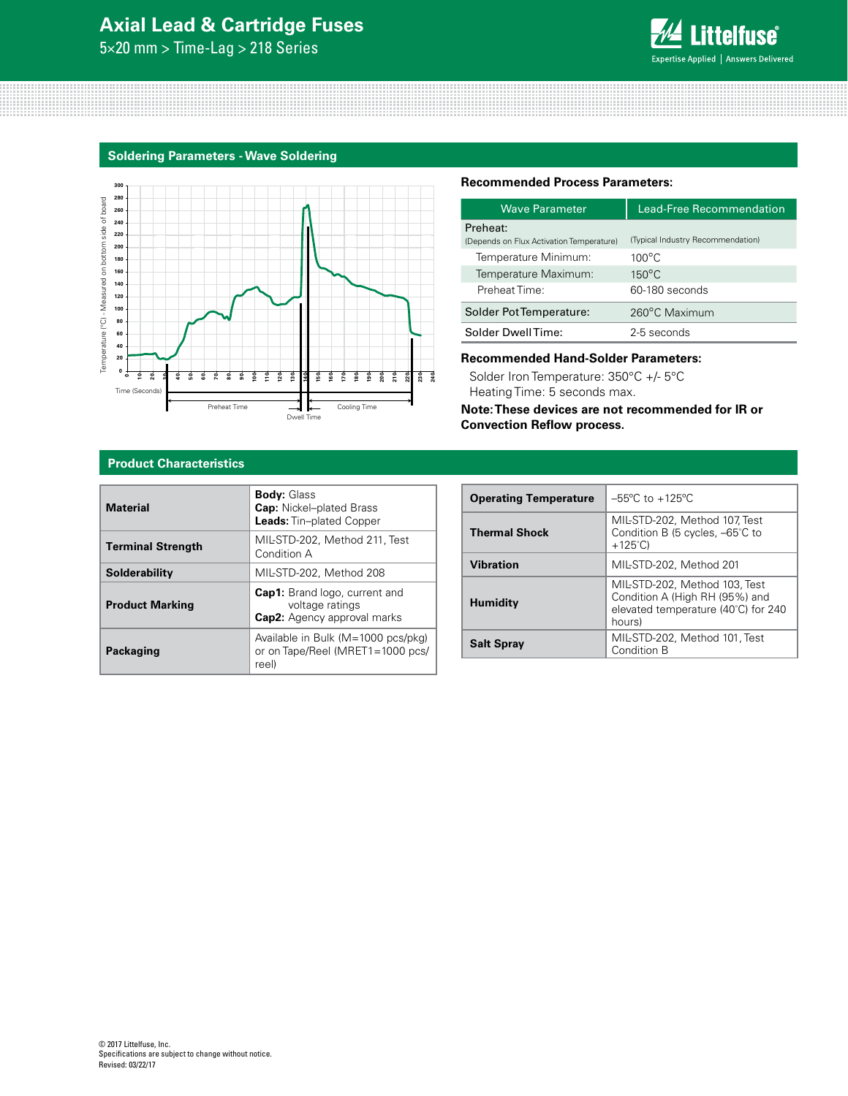# **Axial Lead & Cartridge Fuses**

5×20 mm > Time-Lag > 218 Series



### **Soldering Parameters - Wave Soldering**



### **Recommended Process Parameters:**

| Wave Parameter                           | <b>Lead-Free Recommendation</b>   |  |  |  |  |  |
|------------------------------------------|-----------------------------------|--|--|--|--|--|
| Preheat:                                 |                                   |  |  |  |  |  |
| (Depends on Flux Activation Temperature) | (Typical Industry Recommendation) |  |  |  |  |  |
| Temperature Minimum:                     | $100^{\circ}$ C                   |  |  |  |  |  |
| Temperature Maximum:                     | $150^{\circ}$ C                   |  |  |  |  |  |
| Preheat Time:                            | 60-180 seconds                    |  |  |  |  |  |
| Solder Pot Temperature:                  | 260°C Maximum                     |  |  |  |  |  |
| Solder DwellTime:                        | 2-5 seconds                       |  |  |  |  |  |

### **Recommended Hand-Solder Parameters:**

Solder Iron Temperature: 350°C +/- 5°C Heating Time: 5 seconds max.

**Note: These devices are not recommended for IR or Convection Reflow process.**

### **Product Characteristics**

| <b>Material</b>          | <b>Body: Glass</b><br><b>Cap:</b> Nickel-plated Brass<br><b>Leads:</b> Tin-plated Copper |
|--------------------------|------------------------------------------------------------------------------------------|
| <b>Terminal Strength</b> | MIL-STD-202. Method 211. Test<br>Condition A                                             |
| Solderability            | MIL-STD-202, Method 208                                                                  |
| <b>Product Marking</b>   | <b>Cap1:</b> Brand logo, current and<br>voltage ratings<br>Cap2: Agency approval marks   |
| Packaging                | Available in Bulk (M=1000 pcs/pkg)<br>or on Tape/Reel (MRET1=1000 pcs/<br>reel)          |

| <b>Operating Temperature</b> | $-55^{\circ}$ C to $+125^{\circ}$ C                                                                              |
|------------------------------|------------------------------------------------------------------------------------------------------------------|
| <b>Thermal Shock</b>         | MIL-STD-202, Method 107, Test<br>Condition B (5 cycles, -65°C to<br>$+125^{\circ}$ C)                            |
| Vibration                    | MIL-STD-202, Method 201                                                                                          |
| <b>Humidity</b>              | MIL-STD-202, Method 103, Test<br>Condition A (High RH (95%) and<br>elevated temperature (40°C) for 240<br>hours) |
| <b>Salt Spray</b>            | MIL-STD-202, Method 101, Test<br>Condition B                                                                     |